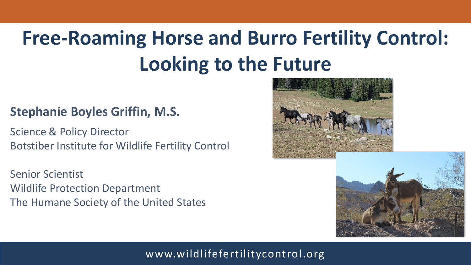# **Free-Roaming Horse and Burro Fertility Control: Looking to the Future**

## **Stephanie Boyles Griffin, M.S.**

Science & Policy Director Botstiber Institute for Wildlife Fertility Control

Senior Scientist Wildlife Protection Department The Humane Society of the United States



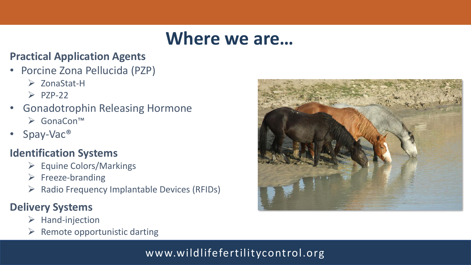## **Where we are…**

#### **Practical Application Agents**

- Porcine Zona Pellucida (PZP)
	- ➢ ZonaStat-H
	- $\triangleright$  PZP-22
- Gonadotrophin Releasing Hormone ➢ GonaCon™
- Spay-Vac®

## **Identification Systems**

- ➢ Equine Colors/Markings
- ➢ Freeze-branding
- ➢ Radio Frequency Implantable Devices (RFIDs)

## **Delivery Systems**

- ➢ Hand-injection
- $\triangleright$  Remote opportunistic darting

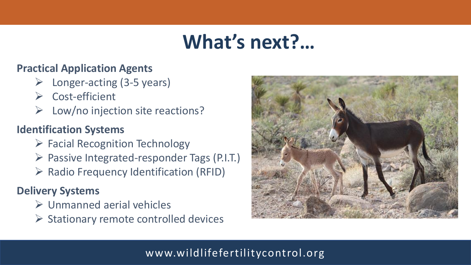## **What's next?…**

#### **Practical Application Agents**

- Longer-acting (3-5 years)
- ➢ Cost-efficient
- Low/no injection site reactions?

## **Identification Systems**

- ➢ Facial Recognition Technology
- ➢ Passive Integrated-responder Tags (P.I.T.)
- ➢ Radio Frequency Identification (RFID)

## **Delivery Systems**

- ➢ Unmanned aerial vehicles
- $\triangleright$  Stationary remote controlled devices

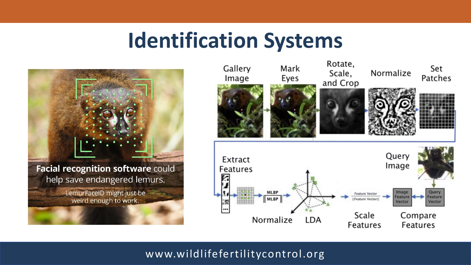## **Identification Systems**



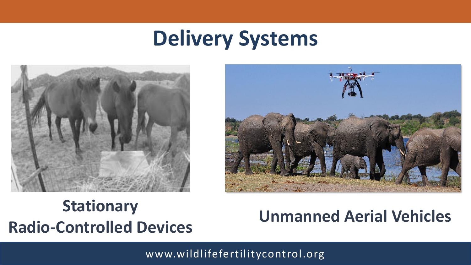# **Delivery Systems**





## **Unmanned Aerial Vehicles Stationary Radio-Controlled Devices**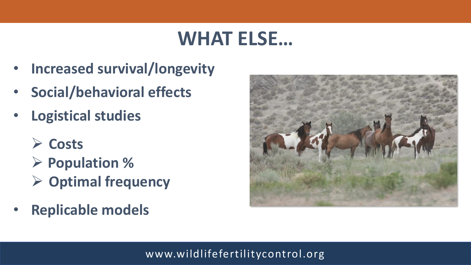## **WHAT ELSE…**

- **Increased survival/longevity**
- **Social/behavioral effects**
- **Logistical studies** 
	- ➢ **Costs**
	- ➢ **Population %**
	- ➢ **Optimal frequency**
- **Replicable models**

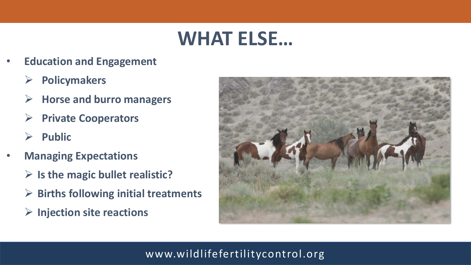## **WHAT ELSE…**

- **Education and Engagement**
	- ➢ **Policymakers**
	- ➢ **Horse and burro managers**
	- ➢ **Private Cooperators**
	- ➢ **Public**
- **Managing Expectations**
	- ➢ **Is the magic bullet realistic?**
	- ➢ **Births following initial treatments**
	- ➢ **Injection site reactions**